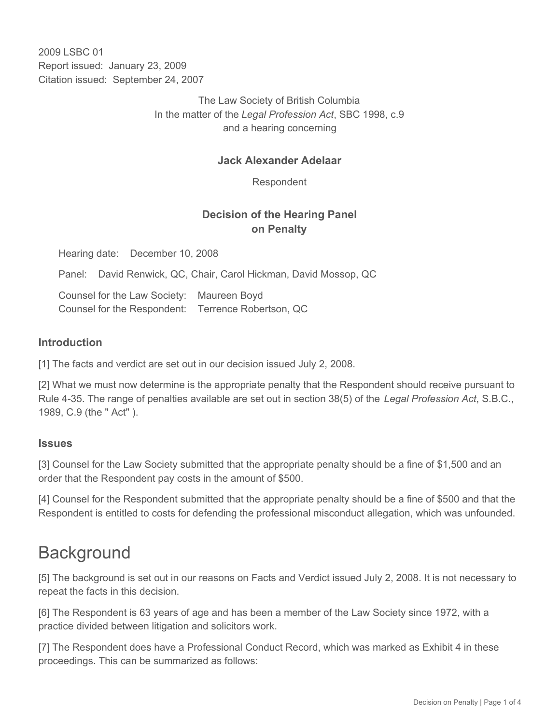2009 LSBC 01 Report issued: January 23, 2009 Citation issued: September 24, 2007

> The Law Society of British Columbia In the matter of the *Legal Profession Act*, SBC 1998, c.9 and a hearing concerning

### **Jack Alexander Adelaar**

Respondent

## **Decision of the Hearing Panel on Penalty**

Hearing date: December 10, 2008

Panel: David Renwick, QC, Chair, Carol Hickman, David Mossop, QC

Counsel for the Law Society: Maureen Boyd Counsel for the Respondent: Terrence Robertson, QC

### **Introduction**

[1] The facts and verdict are set out in our decision issued July 2, 2008.

[2] What we must now determine is the appropriate penalty that the Respondent should receive pursuant to Rule 4-35. The range of penalties available are set out in section 38(5) of the *Legal Profession Act*, S.B.C., 1989, C.9 (the " Act" ).

#### **Issues**

[3] Counsel for the Law Society submitted that the appropriate penalty should be a fine of \$1,500 and an order that the Respondent pay costs in the amount of \$500.

[4] Counsel for the Respondent submitted that the appropriate penalty should be a fine of \$500 and that the Respondent is entitled to costs for defending the professional misconduct allegation, which was unfounded.

# **Background**

[5] The background is set out in our reasons on Facts and Verdict issued July 2, 2008. It is not necessary to repeat the facts in this decision.

[6] The Respondent is 63 years of age and has been a member of the Law Society since 1972, with a practice divided between litigation and solicitors work.

[7] The Respondent does have a Professional Conduct Record, which was marked as Exhibit 4 in these proceedings. This can be summarized as follows: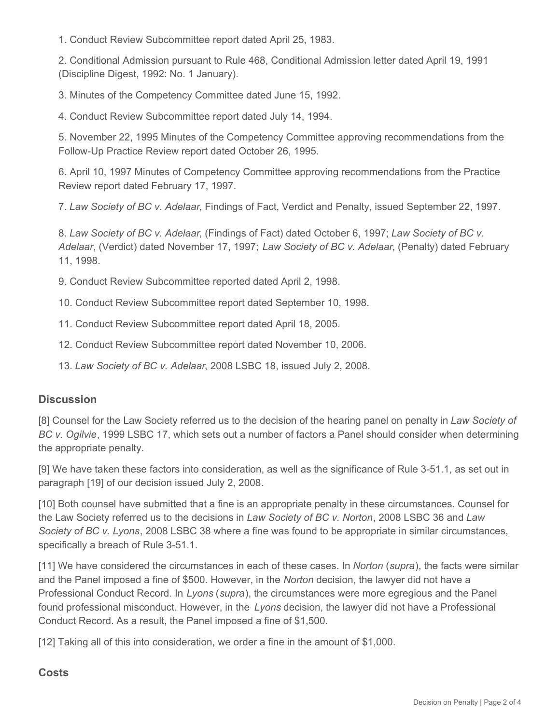1. Conduct Review Subcommittee report dated April 25, 1983.

2. Conditional Admission pursuant to Rule 468, Conditional Admission letter dated April 19, 1991 (Discipline Digest, 1992: No. 1 January).

3. Minutes of the Competency Committee dated June 15, 1992.

4. Conduct Review Subcommittee report dated July 14, 1994.

5. November 22, 1995 Minutes of the Competency Committee approving recommendations from the Follow-Up Practice Review report dated October 26, 1995.

6. April 10, 1997 Minutes of Competency Committee approving recommendations from the Practice Review report dated February 17, 1997.

7. *Law Society of BC v. Adelaar*, Findings of Fact, Verdict and Penalty, issued September 22, 1997.

8. *Law Society of BC v. Adelaar*, (Findings of Fact) dated October 6, 1997; *Law Society of BC v. Adelaar*, (Verdict) dated November 17, 1997; *Law Society of BC v. Adelaar*, (Penalty) dated February 11, 1998.

9. Conduct Review Subcommittee reported dated April 2, 1998.

10. Conduct Review Subcommittee report dated September 10, 1998.

11. Conduct Review Subcommittee report dated April 18, 2005.

12. Conduct Review Subcommittee report dated November 10, 2006.

13. *Law Society of BC v. Adelaar*, 2008 LSBC 18, issued July 2, 2008.

### **Discussion**

[8] Counsel for the Law Society referred us to the decision of the hearing panel on penalty in *Law Society of BC v. Ogilvie*, 1999 LSBC 17, which sets out a number of factors a Panel should consider when determining the appropriate penalty.

[9] We have taken these factors into consideration, as well as the significance of Rule 3-51.1, as set out in paragraph [19] of our decision issued July 2, 2008.

[10] Both counsel have submitted that a fine is an appropriate penalty in these circumstances. Counsel for the Law Society referred us to the decisions in *Law Society of BC v. Norton*, 2008 LSBC 36 and *Law Society of BC v. Lyons*, 2008 LSBC 38 where a fine was found to be appropriate in similar circumstances, specifically a breach of Rule 3-51.1.

[11] We have considered the circumstances in each of these cases. In *Norton* (*supra*), the facts were similar and the Panel imposed a fine of \$500. However, in the *Norton* decision, the lawyer did not have a Professional Conduct Record. In *Lyons* (*supra*), the circumstances were more egregious and the Panel found professional misconduct. However, in the *Lyons* decision, the lawyer did not have a Professional Conduct Record. As a result, the Panel imposed a fine of \$1,500.

[12] Taking all of this into consideration, we order a fine in the amount of \$1,000.

### **Costs**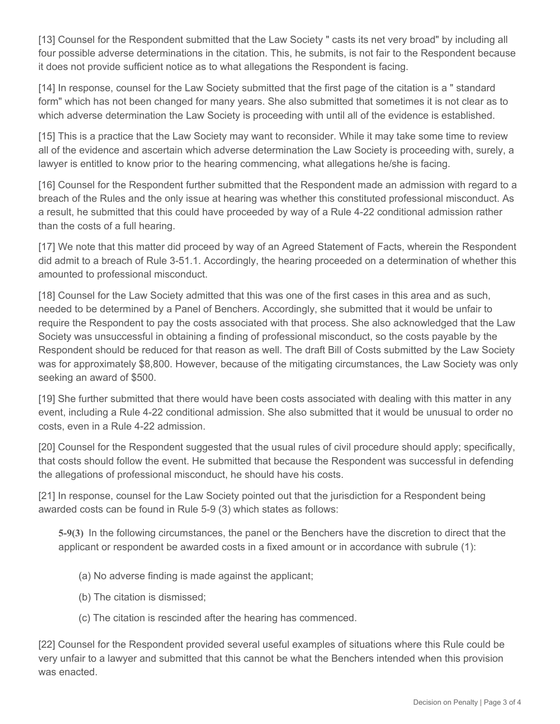[13] Counsel for the Respondent submitted that the Law Society " casts its net very broad" by including all four possible adverse determinations in the citation. This, he submits, is not fair to the Respondent because it does not provide sufficient notice as to what allegations the Respondent is facing.

[14] In response, counsel for the Law Society submitted that the first page of the citation is a " standard form" which has not been changed for many years. She also submitted that sometimes it is not clear as to which adverse determination the Law Society is proceeding with until all of the evidence is established.

[15] This is a practice that the Law Society may want to reconsider. While it may take some time to review all of the evidence and ascertain which adverse determination the Law Society is proceeding with, surely, a lawyer is entitled to know prior to the hearing commencing, what allegations he/she is facing.

[16] Counsel for the Respondent further submitted that the Respondent made an admission with regard to a breach of the Rules and the only issue at hearing was whether this constituted professional misconduct. As a result, he submitted that this could have proceeded by way of a Rule 4-22 conditional admission rather than the costs of a full hearing.

[17] We note that this matter did proceed by way of an Agreed Statement of Facts, wherein the Respondent did admit to a breach of Rule 3-51.1. Accordingly, the hearing proceeded on a determination of whether this amounted to professional misconduct.

[18] Counsel for the Law Society admitted that this was one of the first cases in this area and as such, needed to be determined by a Panel of Benchers. Accordingly, she submitted that it would be unfair to require the Respondent to pay the costs associated with that process. She also acknowledged that the Law Society was unsuccessful in obtaining a finding of professional misconduct, so the costs payable by the Respondent should be reduced for that reason as well. The draft Bill of Costs submitted by the Law Society was for approximately \$8,800. However, because of the mitigating circumstances, the Law Society was only seeking an award of \$500.

[19] She further submitted that there would have been costs associated with dealing with this matter in any event, including a Rule 4-22 conditional admission. She also submitted that it would be unusual to order no costs, even in a Rule 4-22 admission.

[20] Counsel for the Respondent suggested that the usual rules of civil procedure should apply; specifically, that costs should follow the event. He submitted that because the Respondent was successful in defending the allegations of professional misconduct, he should have his costs.

[21] In response, counsel for the Law Society pointed out that the jurisdiction for a Respondent being awarded costs can be found in Rule 5-9 (3) which states as follows:

**5-9(3)** In the following circumstances, the panel or the Benchers have the discretion to direct that the applicant or respondent be awarded costs in a fixed amount or in accordance with subrule (1):

- (a) No adverse finding is made against the applicant;
- (b) The citation is dismissed;
- (c) The citation is rescinded after the hearing has commenced.

[22] Counsel for the Respondent provided several useful examples of situations where this Rule could be very unfair to a lawyer and submitted that this cannot be what the Benchers intended when this provision was enacted.